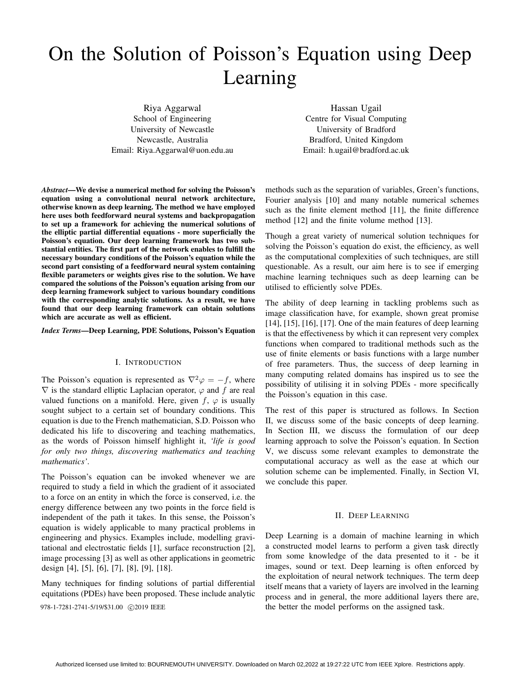# On the Solution of Poisson's Equation using Deep Learning

Riya Aggarwal School of Engineering University of Newcastle Newcastle, Australia Email: Riya.Aggarwal@uon.edu.au

Hassan Ugail Centre for Visual Computing University of Bradford Bradford, United Kingdom Email: h.ugail@bradford.ac.uk

*Abstract*—We devise a numerical method for solving the Poisson's equation using a convolutional neural network architecture, otherwise known as deep learning. The method we have employed here uses both feedforward neural systems and backpropagation to set up a framework for achieving the numerical solutions of the elliptic partial differential equations - more superficially the Poisson's equation. Our deep learning framework has two substantial entities. The first part of the network enables to fulfill the necessary boundary conditions of the Poisson's equation while the second part consisting of a feedforward neural system containing flexible parameters or weights gives rise to the solution. We have compared the solutions of the Poisson's equation arising from our deep learning framework subject to various boundary conditions with the corresponding analytic solutions. As a result, we have found that our deep learning framework can obtain solutions which are accurate as well as efficient.

*Index Terms*—Deep Learning, PDE Solutions, Poisson's Equation

#### I. INTRODUCTION

The Poisson's equation is represented as  $\nabla^2 \varphi = -f$ , where  $\nabla$  is the standard elliptic Laplacian operator,  $\varphi$  and f are real valued functions on a manifold. Here, given  $f$ ,  $\varphi$  is usually sought subject to a certain set of boundary conditions. This equation is due to the French mathematician, S.D. Poisson who dedicated his life to discovering and teaching mathematics, as the words of Poisson himself highlight it, *'life is good for only two things, discovering mathematics and teaching mathematics'*.

The Poisson's equation can be invoked whenever we are required to study a field in which the gradient of it associated to a force on an entity in which the force is conserved, i.e. the energy difference between any two points in the force field is independent of the path it takes. In this sense, the Poisson's equation is widely applicable to many practical problems in engineering and physics. Examples include, modelling gravitational and electrostatic fields [1], surface reconstruction [2], image processing [3] as well as other applications in geometric design [4], [5], [6], [7], [8], [9], [18].

Many techniques for finding solutions of partial differential equitations (PDEs) have been proposed. These include analytic 978-1-7281-2741-5/19/\$31.00  $\odot$ 2019 IEEE the better the model performs on the assigned task.

methods such as the separation of variables, Green's functions, Fourier analysis [10] and many notable numerical schemes such as the finite element method [11], the finite difference method [12] and the finite volume method [13].

Though a great variety of numerical solution techniques for solving the Poisson's equation do exist, the efficiency, as well as the computational complexities of such techniques, are still questionable. As a result, our aim here is to see if emerging machine learning techniques such as deep learning can be utilised to efficiently solve PDEs.

The ability of deep learning in tackling problems such as image classification have, for example, shown great promise [14], [15], [16], [17]. One of the main features of deep learning is that the effectiveness by which it can represent very complex functions when compared to traditional methods such as the use of finite elements or basis functions with a large number of free parameters. Thus, the success of deep learning in many computing related domains has inspired us to see the possibility of utilising it in solving PDEs - more specifically the Poisson's equation in this case.

The rest of this paper is structured as follows. In Section II, we discuss some of the basic concepts of deep learning. In Section III, we discuss the formulation of our deep learning approach to solve the Poisson's equation. In Section V, we discuss some relevant examples to demonstrate the computational accuracy as well as the ease at which our solution scheme can be implemented. Finally, in Section VI, we conclude this paper.

# II. DEEP LEARNING

Deep Learning is a domain of machine learning in which a constructed model learns to perform a given task directly from some knowledge of the data presented to it - be it images, sound or text. Deep learning is often enforced by the exploitation of neural network techniques. The term deep itself means that a variety of layers are involved in the learning process and in general, the more additional layers there are,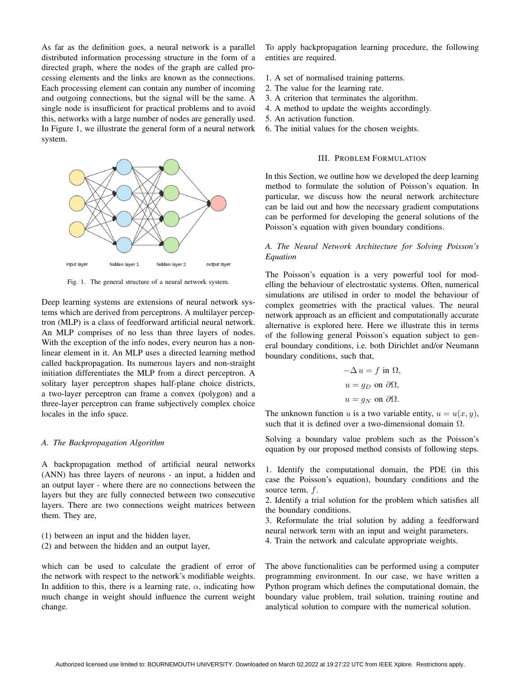As far as the definition goes, a neural network is a parallel distributed information processing structure in the form of a directed graph, where the nodes of the graph are called processing elements and the links are known as the connections. Each processing element can contain any number of incoming and outgoing connections, but the signal will be the same. A single node is insufficient for practical problems and to avoid this, networks with a large number of nodes are generally used. In Figure 1, we illustrate the general form of a neural network system.



Fig. 1. The general structure of a neural network system.

Deep learning systems are extensions of neural network systems which are derived from perceptrons. A multilayer perceptron (MLP) is a class of feedforward artificial neural network. An MLP comprises of no less than three layers of nodes. With the exception of the info nodes, every neuron has a nonlinear element in it. An MLP uses a directed learning method called backpropagation. Its numerous layers and non-straight initiation differentiates the MLP from a direct perceptron. A solitary layer perceptron shapes half-plane choice districts, a two-layer perceptron can frame a convex (polygon) and a three-layer perceptron can frame subjectively complex choice locales in the info space.

# *A. The Backpropagation Algorithm*

A backpropagation method of artificial neural networks (ANN) has three layers of neurons - an input, a hidden and an output layer - where there are no connections between the layers but they are fully connected between two consecutive layers. There are two connections weight matrices between them. They are,

- (1) between an input and the hidden layer,
- (2) and between the hidden and an output layer,

which can be used to calculate the gradient of error of the network with respect to the network's modifiable weights. In addition to this, there is a learning rate,  $\alpha$ , indicating how much change in weight should influence the current weight change.

To apply backpropagation learning procedure, the following entities are required.

- 1. A set of normalised training patterns.
- 2. The value for the learning rate.
- 3. A criterion that terminates the algorithm.
- 4. A method to update the weights accordingly.
- 5. An activation function.
- 6. The initial values for the chosen weights.

#### III. PROBLEM FORMULATION

In this Section, we outline how we developed the deep learning method to formulate the solution of Poisson's equation. In particular, we discuss how the neural network architecture can be laid out and how the necessary gradient computations can be performed for developing the general solutions of the Poisson's equation with given boundary conditions.

# *A. The Neural Network Architecture for Solving Poisson's Equation*

The Poisson's equation is a very powerful tool for modelling the behaviour of electrostatic systems. Often, numerical simulations are utilised in order to model the behaviour of complex geometries with the practical values. The neural network approach as an efficient and computationally accurate alternative is explored here. Here we illustrate this in terms of the following general Poisson's equation subject to general boundary conditions, i.e. both Dirichlet and/or Neumann boundary conditions, such that,

$$
-\Delta u = f \text{ in } \Omega,
$$
  
\n
$$
u = g_D \text{ on } \partial \Omega,
$$
  
\n
$$
u = g_N \text{ on } \partial \Omega.
$$

The unknown function u is a two variable entity,  $u = u(x, y)$ , such that it is defined over a two-dimensional domain  $\Omega$ .

Solving a boundary value problem such as the Poisson's equation by our proposed method consists of following steps.

1. Identify the computational domain, the PDE (in this case the Poisson's equation), boundary conditions and the source term, f.

2. Identify a trial solution for the problem which satisfies all the boundary conditions.

3. Reformulate the trial solution by adding a feedforward neural network term with an input and weight parameters.

4. Train the network and calculate appropriate weights.

The above functionalities can be performed using a computer programming environment. In our case, we have written a Python program which defines the computational domain, the boundary value problem, trail solution, training routine and analytical solution to compare with the numerical solution.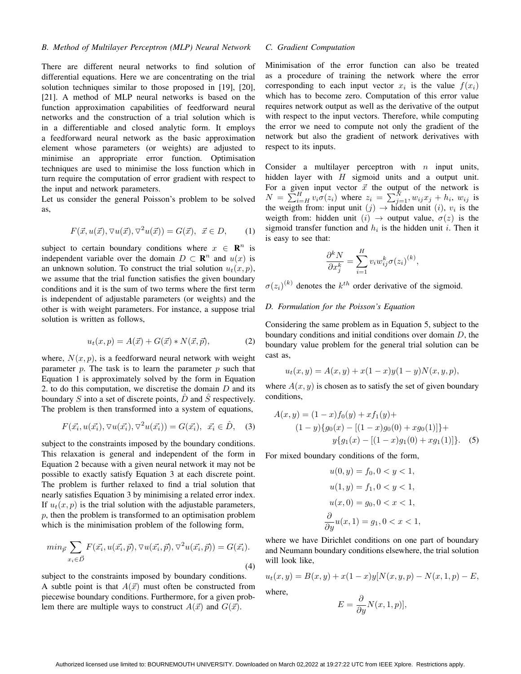# *B. Method of Multilayer Perceptron (MLP) Neural Network*

There are different neural networks to find solution of differential equations. Here we are concentrating on the trial solution techniques similar to those proposed in [19], [20], [21]. A method of MLP neural networks is based on the function approximation capabilities of feedforward neural networks and the construction of a trial solution which is in a differentiable and closed analytic form. It employs a feedforward neural network as the basic approximation element whose parameters (or weights) are adjusted to minimise an appropriate error function. Optimisation techniques are used to minimise the loss function which in turn require the computation of error gradient with respect to the input and network parameters.

Let us consider the general Poisson's problem to be solved as,

$$
F(\vec{x}, u(\vec{x}), \nabla u(\vec{x}), \nabla^2 u(\vec{x})) = G(\vec{x}), \ \ \vec{x} \in D,
$$
 (1)

subject to certain boundary conditions where  $x \in \mathbb{R}^n$  is independent variable over the domain  $D \subset \mathbb{R}^n$  and  $u(x)$  is an unknown solution. To construct the trial solution  $u_t(x, p)$ , we assume that the trial function satisfies the given boundary conditions and it is the sum of two terms where the first term is independent of adjustable parameters (or weights) and the other is with weight parameters. For instance, a suppose trial solution is written as follows,

$$
u_t(x,p) = A(\vec{x}) + G(\vec{x}) * N(\vec{x}, \vec{p}), \qquad (2)
$$

where,  $N(x, p)$ , is a feedforward neural network with weight parameter  $p$ . The task is to learn the parameter  $p$  such that Equation 1 is approximately solved by the form in Equation 2. to do this computation, we discretise the domain  $D$  and its boundary S into a set of discrete points,  $\ddot{D}$  and  $\ddot{S}$  respectively. The problem is then transformed into a system of equations,

$$
F(\vec{x_i}, u(\vec{x_i}), \nabla u(\vec{x_i}), \nabla^2 u(\vec{x_i})) = G(\vec{x_i}), \ \ \vec{x_i} \in \hat{D}, \tag{3}
$$

subject to the constraints imposed by the boundary conditions. This relaxation is general and independent of the form in Equation 2 because with a given neural network it may not be possible to exactly satisfy Equation 3 at each discrete point. The problem is further relaxed to find a trial solution that nearly satisfies Equation 3 by minimising a related error index. If  $u_t(x, p)$  is the trial solution with the adjustable parameters,  $p$ , then the problem is transformed to an optimisation problem which is the minimisation problem of the following form,

$$
\min_{\vec{p}} \sum_{x_i \in \vec{D}} F(\vec{x_i}, u(\vec{x_i}, \vec{p}), \nabla u(\vec{x_i}, \vec{p}), \nabla^2 u(\vec{x_i}, \vec{p})) = G(\vec{x_i}).
$$
\n(4)

subject to the constraints imposed by boundary conditions. A subtle point is that  $A(\vec{x})$  must often be constructed from piecewise boundary conditions. Furthermore, for a given problem there are multiple ways to construct  $A(\vec{x})$  and  $G(\vec{x})$ .

# *C. Gradient Computation*

Minimisation of the error function can also be treated as a procedure of training the network where the error corresponding to each input vector  $x_i$  is the value  $f(x_i)$ which has to become zero. Computation of this error value requires network output as well as the derivative of the output with respect to the input vectors. Therefore, while computing the error we need to compute not only the gradient of the network but also the gradient of network derivatives with respect to its inputs.

Consider a multilayer perceptron with  $n$  input units, hidden layer with  $H$  sigmoid units and a output unit. For a given input vector  $\vec{x}$  the output of the network is  $N = \sum_{i=H}^{H} v_i \sigma(z_i)$  where  $z_i = \sum_{j=1}^{N} w_{ij} x_j + h_i$ ,  $w_{ij}$  is the weigth from: input unit  $(j) \rightarrow h$  hidden unit  $(i)$ ,  $v_i$  is the weigth from: hidden unit  $(i) \rightarrow$  output value,  $\sigma(z)$  is the sigmoid transfer function and  $h_i$  is the hidden unit i. Then it is easy to see that:

$$
\frac{\partial^k N}{\partial x_j^k} = \sum_{i=1}^H v_i w_{ij}^k \sigma(z_i)^{(k)},
$$

 $\sigma(z_i)^{(k)}$  denotes the  $k^{th}$  order derivative of the sigmoid.

### *D. Formulation for the Poisson's Equation*

Considering the same problem as in Equation 5, subject to the boundary conditions and initial conditions over domain  $D$ , the boundary value problem for the general trial solution can be cast as,

$$
u_t(x, y) = A(x, y) + x(1-x)y(1-y)N(x, y, p),
$$

where  $A(x, y)$  is chosen as to satisfy the set of given boundary conditions,

$$
A(x, y) = (1 - x) f_0(y) + x f_1(y) +
$$
  
(1 - y) { $g_0(x)$  - [(1 – x)g<sub>0</sub>(0) + xg<sub>0</sub>(1)]} +  
y { $g_1(x)$  - [(1 – x)g<sub>1</sub>(0) + xg<sub>1</sub>(1)]}. (5)

For mixed boundary conditions of the form,

$$
u(0, y) = f_0, 0 < y < 1,
$$
  
\n
$$
u(1, y) = f_1, 0 < y < 1,
$$
  
\n
$$
u(x, 0) = g_0, 0 < x < 1,
$$
  
\n
$$
\frac{\partial}{\partial y}u(x, 1) = g_1, 0 < x < 1,
$$

where we have Dirichlet conditions on one part of boundary and Neumann boundary conditions elsewhere, the trial solution will look like,

$$
u_t(x, y) = B(x, y) + x(1-x)y[N(x, y, p) - N(x, 1, p) - E,
$$
  
where,  

$$
\partial
$$

$$
E = \frac{\partial}{\partial y} N(x, 1, p)],
$$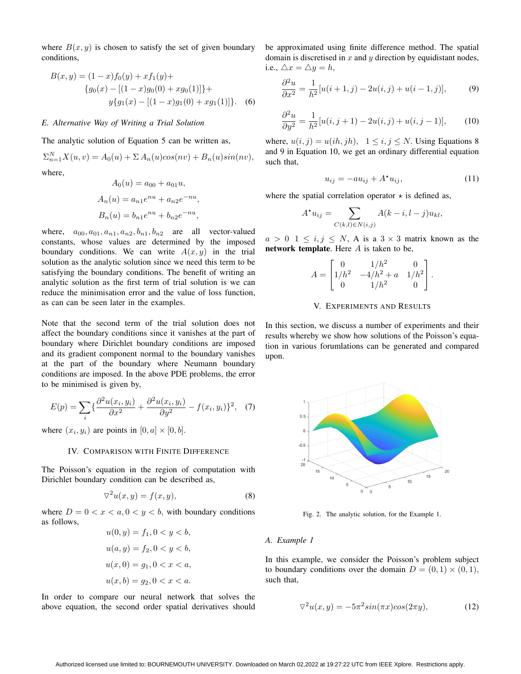where  $B(x, y)$  is chosen to satisfy the set of given boundary conditions,

$$
B(x,y) = (1-x)f_0(y) + xf_1(y) +
$$
  
\n
$$
\{g_0(x) - [(1-x)g_0(0) + xg_0(1)]\} +
$$
  
\n
$$
y\{g_1(x) - [(1-x)g_1(0) + xg_1(1)]\}.
$$
 (6)

# *E. Alternative Way of Writing a Trial Solution*

The analytic solution of Equation 5 can be written as,

$$
\Sigma_{n=1}^N X(u, v) = A_0(u) + \Sigma A_n(u) \cos(nv) + B_n(u) \sin(nv),
$$
 where,

$$
A_0(u) = a_{00} + a_{01}u,
$$
  
\n
$$
A_n(u) = a_{n1}e^{nu} + a_{n2}e^{-nu},
$$
  
\n
$$
B_n(u) = b_{n1}e^{nu} + b_{n2}e^{-nu},
$$

where,  $a_{00}, a_{01}, a_{n1}, a_{n2}, b_{n1}, b_{n2}$  are all vector-valued constants, whose values are determined by the imposed boundary conditions. We can write  $A(x, y)$  in the trial solution as the analytic solution since we need this term to be satisfying the boundary conditions. The benefit of writing an analytic solution as the first term of trial solution is we can reduce the minimisation error and the value of loss function, as can can be seen later in the examples.

Note that the second term of the trial solution does not affect the boundary conditions since it vanishes at the part of boundary where Dirichlet boundary conditions are imposed and its gradient component normal to the boundary vanishes at the part of the boundary where Neumann boundary conditions are imposed. In the above PDE problems, the error to be minimised is given by,

$$
E(p) = \sum_{i} \left\{ \frac{\partial^2 u(x_i, y_i)}{\partial x^2} + \frac{\partial^2 u(x_i, y_i)}{\partial y^2} - f(x_i, y_i) \right\}^2, \quad (7)
$$

where  $(x_i, y_i)$  are points in  $[0, a] \times [0, b]$ .

## IV. COMPARISON WITH FINITE DIFFERENCE

The Poisson's equation in the region of computation with Dirichlet boundary condition can be described as,

$$
\nabla^2 u(x, y) = f(x, y),\tag{8}
$$

where  $D = 0 < x < a, 0 < y < b$ , with boundary conditions as follows,  $\sqrt{2}$   $\sqrt{2}$ 

$$
u(0, y) = f_1, 0 < y < b,
$$
\n
$$
u(a, y) = f_2, 0 < y < b,
$$
\n
$$
u(x, 0) = g_1, 0 < x < a,
$$
\n
$$
u(x, b) = g_2, 0 < x < a.
$$

In order to compare our neural network that solves the above equation, the second order spatial derivatives should be approximated using finite difference method. The spatial domain is discretised in  $x$  and  $y$  direction by equidistant nodes, i.e.,  $\triangle x = \triangle y = h$ ,

$$
\frac{\partial^2 u}{\partial x^2} = \frac{1}{h^2} [u(i+1,j) - 2u(i,j) + u(i-1,j)],\tag{9}
$$

$$
\frac{\partial^2 u}{\partial y^2} = \frac{1}{h^2} [u(i, j+1) - 2u(i, j) + u(i, j-1)],
$$
 (10)

where,  $u(i, j) = u(ih, jh)$ ,  $1 \leq i, j \leq N$ . Using Equations 8 and 9 in Equation 10, we get an ordinary differential equation such that,

$$
u_{ij} = -au_{ij} + A^{\star}u_{ij}, \qquad (11)
$$

where the spatial correlation operator  $\star$  is defined as,

$$
A^{\star}u_{ij} = \sum_{C(k,l)\in N(i,j)} A(k-i,l-j)u_{kl},
$$

 $a > 0$  1  $\leq i, j \leq N$ , A is a 3  $\times$  3 matrix known as the network template. Here  $A$  is taken to be,

$$
A = \begin{bmatrix} 0 & 1/h^2 & 0 \\ 1/h^2 & -4/h^2 + a & 1/h^2 \\ 0 & 1/h^2 & 0 \end{bmatrix}.
$$

# V. EXPERIMENTS AND RESULTS

In this section, we discuss a number of experiments and their results whereby we show how solutions of the Poisson's equation in various forumlations can be generated and compared upon.



Fig. 2. The analytic solution, for the Example 1.

#### *A. Example 1*

In this example, we consider the Poisson's problem subject to boundary conditions over the domain  $D = (0, 1) \times (0, 1)$ , such that,

$$
\nabla^2 u(x, y) = -5\pi^2 \sin(\pi x) \cos(2\pi y),\tag{12}
$$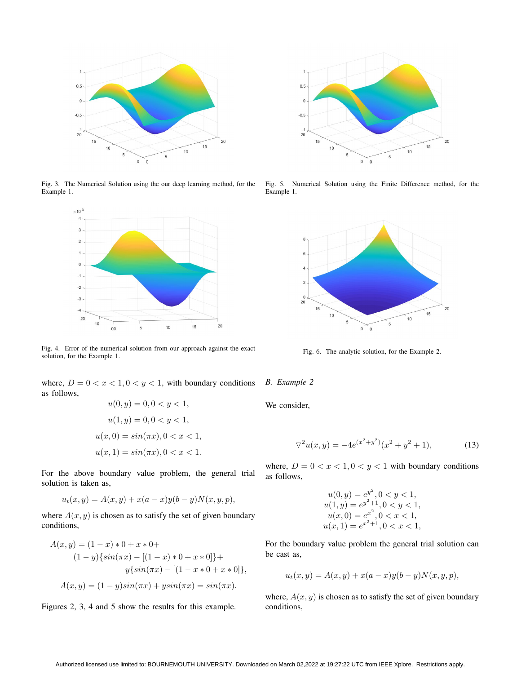

Fig. 3. The Numerical Solution using the our deep learning method, for the Example 1.



Fig. 4. Error of the numerical solution from our approach against the exact solution, for the Example 1.

where,  $D = 0 < x < 1, 0 < y < 1$ , with boundary conditions as follows,  $u(0, u) = 0, 0 < u < 1$ 

$$
u(0, y) = 0, 0 < y < 1,
$$
\n
$$
u(1, y) = 0, 0 < y < 1,
$$
\n
$$
u(x, 0) = \sin(\pi x), 0 < x < 1,
$$
\n
$$
u(x, 1) = \sin(\pi x), 0 < x < 1.
$$

For the above boundary value problem, the general trial solution is taken as,

$$
u_t(x, y) = A(x, y) + x(a - x)y(b - y)N(x, y, p),
$$

where  $A(x, y)$  is chosen as to satisfy the set of given boundary conditions,

$$
A(x, y) = (1 - x) * 0 + x * 0 +
$$
  
\n
$$
(1 - y) \{ \sin(\pi x) - [(1 - x) * 0 + x * 0] \} +
$$
  
\n
$$
y \{ \sin(\pi x) - [(1 - x * 0 + x * 0] \},
$$
  
\n
$$
A(x, y) = (1 - y) \sin(\pi x) + y \sin(\pi x) = \sin(\pi x).
$$

Figures 2, 3, 4 and 5 show the results for this example.



Fig. 5. Numerical Solution using the Finite Difference method, for the Example 1.



Fig. 6. The analytic solution, for the Example 2.

*B. Example 2*

We consider,

$$
\nabla^2 u(x, y) = -4e^{(x^2 + y^2)}(x^2 + y^2 + 1),\tag{13}
$$

where,  $D = 0 < x < 1, 0 < y < 1$  with boundary conditions as follows,

$$
u(0, y) = e^{y^2}, 0 < y < 1,
$$
  
\n
$$
u(1, y) = e^{y^2 + 1}, 0 < y < 1,
$$
  
\n
$$
u(x, 0) = e^{x^2}, 0 < x < 1,
$$
  
\n
$$
u(x, 1) = e^{x^2 + 1}, 0 < x < 1,
$$

For the boundary value problem the general trial solution can be cast as,

$$
u_t(x, y) = A(x, y) + x(a - x)y(b - y)N(x, y, p),
$$

where,  $A(x, y)$  is chosen as to satisfy the set of given boundary conditions,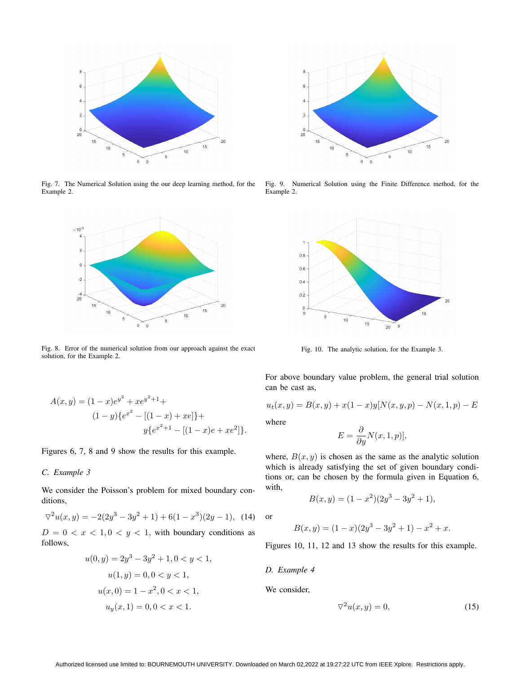

Fig. 7. The Numerical Solution using the our deep learning method, for the Example 2.



Fig. 8. Error of the numerical solution from our approach against the exact solution, for the Example 2.



Fig. 9. Numerical Solution using the Finite Difference method, for the Example 2.



Fig. 10. The analytic solution, for the Example 3.

For above boundary value problem, the general trial solution can be cast as,

$$
u_t(x, y) = B(x, y) + x(1-x)y[N(x, y, p) - N(x, 1, p) - E]
$$

where

$$
E = \frac{\partial}{\partial y} N(x, 1, p)],
$$

where,  $B(x, y)$  is chosen as the same as the analytic solution which is already satisfying the set of given boundary conditions or, can be chosen by the formula given in Equation 6, with,

$$
B(x, y) = (1 - x^2)(2y^3 - 3y^2 + 1),
$$

or

$$
B(x, y) = (1 - x)(2y3 - 3y2 + 1) - x2 + x.
$$

Figures 10, 11, 12 and 13 show the results for this example.

*D. Example 4*

We consider,

$$
\nabla^2 u(x, y) = 0,\tag{15}
$$

$$
A(x,y) = (1-x)e^{y^2} + xe^{y^2+1} +
$$
  
\n
$$
(1-y)\{e^{x^2} - [(1-x) + xe]\} +
$$
  
\n
$$
y\{e^{x^2+1} - [(1-x)e + xe^2]\}.
$$

Figures 6, 7, 8 and 9 show the results for this example.

# *C. Example 3*

We consider the Poisson's problem for mixed boundary conditions,

$$
\nabla^2 u(x, y) = -2(2y^3 - 3y^2 + 1) + 6(1 - x^3)(2y - 1), \tag{14}
$$

 $D = 0 < x < 1, 0 < y < 1$ , with boundary conditions as follows,

$$
u(0, y) = 2y3 - 3y2 + 1, 0 < y < 1,
$$
  
\n
$$
u(1, y) = 0, 0 < y < 1,
$$
  
\n
$$
u(x, 0) = 1 - x2, 0 < x < 1,
$$
  
\n
$$
uy(x, 1) = 0, 0 < x < 1.
$$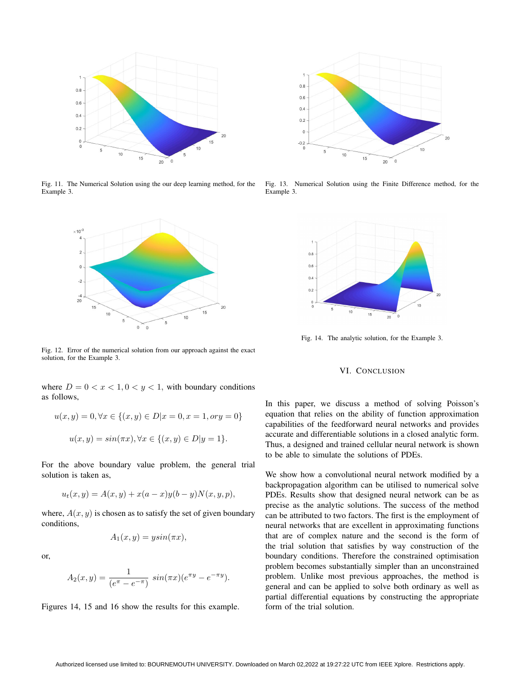

Fig. 11. The Numerical Solution using the our deep learning method, for the Example 3.



Fig. 12. Error of the numerical solution from our approach against the exact solution, for the Example 3.

where  $D = 0 < x < 1, 0 < y < 1$ , with boundary conditions as follows,

$$
u(x, y) = 0, \forall x \in \{(x, y) \in D | x = 0, x = 1, or y = 0\}
$$
  

$$
u(x, y) = \sin(\pi x), \forall x \in \{(x, y) \in D | y = 1\}.
$$

For the above boundary value problem, the general trial solution is taken as,

$$
u_t(x, y) = A(x, y) + x(a - x)y(b - y)N(x, y, p),
$$

where,  $A(x, y)$  is chosen as to satisfy the set of given boundary conditions,

$$
A_1(x, y) = y\sin(\pi x),
$$

or,

$$
A_2(x,y) = \frac{1}{(e^{\pi} - e^{-\pi})} \sin(\pi x) (e^{\pi y} - e^{-\pi y}).
$$

Figures 14, 15 and 16 show the results for this example.



Fig. 13. Numerical Solution using the Finite Difference method, for the Example 3.



Fig. 14. The analytic solution, for the Example 3.

# VI. CONCLUSION

In this paper, we discuss a method of solving Poisson's equation that relies on the ability of function approximation capabilities of the feedforward neural networks and provides accurate and differentiable solutions in a closed analytic form. Thus, a designed and trained cellular neural network is shown to be able to simulate the solutions of PDEs.

We show how a convolutional neural network modified by a backpropagation algorithm can be utilised to numerical solve PDEs. Results show that designed neural network can be as precise as the analytic solutions. The success of the method can be attributed to two factors. The first is the employment of neural networks that are excellent in approximating functions that are of complex nature and the second is the form of the trial solution that satisfies by way construction of the boundary conditions. Therefore the constrained optimisation problem becomes substantially simpler than an unconstrained problem. Unlike most previous approaches, the method is general and can be applied to solve both ordinary as well as partial differential equations by constructing the appropriate form of the trial solution.